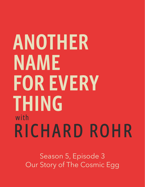## ANOTHER NAME **FOR EVERY THING** with RICHARD ROHR

Season 5, Episode 3 Our Story of The Cosmic Egg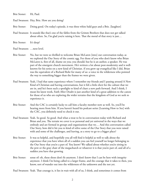| Brie Stoner:               | Hi, Paul.                                                                                                                                                                                                                                                                                                                                                                                                                         |
|----------------------------|-----------------------------------------------------------------------------------------------------------------------------------------------------------------------------------------------------------------------------------------------------------------------------------------------------------------------------------------------------------------------------------------------------------------------------------|
|                            | Paul Swanson: Hey, Brie. How are you doing?                                                                                                                                                                                                                                                                                                                                                                                       |
| Brie Stoner:               | Doing good. On today's episode, it was three white bald guys and a Brie. [laughter]                                                                                                                                                                                                                                                                                                                                               |
|                            | Paul Swanson: It sounds like that's one of the fables from the Grimm Brothers that does not get talked<br>about often. So, I'm glad you're raising it here. That the moral of that story is just                                                                                                                                                                                                                                  |
| Brie Stoner:               | It's deep?                                                                                                                                                                                                                                                                                                                                                                                                                        |
| Paul Swanson:  next level. |                                                                                                                                                                                                                                                                                                                                                                                                                                   |
|                            | $\mathbf{D}_{\text{obs}}$ , $\mathbf{C}_{\text{total}}$ , $\mathbf{M}_{\text{obs}}$ , $\mathbf{M}_{\text{obs}}$ , $\mathbf{M}_{\text{obs}}$ , $\mathbf{M}_{\text{obs}}$ , $\mathbf{M}_{\text{obs}}$ , $\mathbf{M}_{\text{obs}}$ , $\mathbf{M}_{\text{obs}}$ , $\mathbf{M}_{\text{obs}}$ , $\mathbf{M}_{\text{obs}}$ , $\mathbf{M}_{\text{obs}}$ , $\mathbf{M}_{\text{obs}}$ , $\mathbf{M}_{\text{obs}}$ , $\mathbf{M}_{\text{obs$ |

- Brie Stoner: No, but we were so thrilled to welcome Brian McLaren [into] our conversation today, as we explored the Our Story of the cosmic egg. For those of you who don't know who Brian McLaren is, first of all, shame on you; you should; but he is an author, a speaker. He was part of the emergent church movement. He's written a lot about post-modernity and is wellknown for his series on a new kind of Christian. if you grew up evangelical like I did, Brian was the equivalent of a Richard Rohr for many of us: a voice in the wilderness who pointed the way to something bigger than the frames we were given.
- Paul Swanson: Yeah, I had that same experience where I remember my friends and I passing around A New Kind of Christian and having conversations, but it felt a little elicit for the culture that we are in, and he's been such a spotlight to kind of chart a new path forward. And I think, I mean his latest work, Faith After Doubt is just another kind of a great addition to the canon for those of us who are exploring the wider terrains that the kingdom of God as we seek to experience it.
- Brie Stoner: And the CAC is certainly lucky to call him a faculty member now as well. So, you'll be hearing more from him. If you haven't heard his podcast series [Learning How to See] with the CAC, you definitely need to check it out.
- Paul Swanson: Yeah. So good. So good. And what a treat to be in conversation today with Richard and Brian and you. The terrain we cover is so personal and yet universal in the ways that we embody and are formed in groups and organizations that we… And this conversation called Our Story, how did it hit you to kind of relive some of the Our Story that you were raised with and some of the challenges, and leaving, as a story to go to a bigger place?
- Brie Stoner: It was so helpful, and hopefully you all will find it helpful as well to talk about the experience that you have when all of a sudden you can feel yourself no longer belonging to the Our Story that you're a part of. You know? We talked about whether you're sitting in the pew or the gray chair of the megachurch or whatever it is that you're part of, and all of a sudden you have that growing
- Brie Stoner: sense of: oh, these shoes don't fit anymore. I don't know that I can be here with integrity anymore. I think I'm being called to a larger frame, and the courage that it takes to then, you know, sort of wander out into the wilderness of the unknown and the not yet.

Paul Swanson: Yeah. That courage is, it lies in wait with all of us, I think, and sometimes it comes from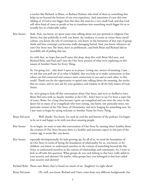a teacher like Richard, or Brian, or Barbara Holmes, who kind of show us something that helps us see beyond the horizon of our own experience. And sometimes it's just this own inkling of, if God is not bigger than this then this must be a very small God, and that God will often kind of come to perish or has to transform into something much bigger for us to actually live in a believable reality.

Brie Stoner: Yeah. And, you know, we spent some time talking about not just spiritual or religious Our Stories, but also politically as well, you know, the tendency to create us versus them cancel culture, you know, the role of contempt in, you know, in the formation of that type of group think and how contempt can become really damaging hatred. And, you know, whenever we turn Our Story into The Story, that's so problematic, and both Brian and Richard did an incredible job of pulling that out.

> So, with that, we hope that you'll enjoy this deep, deep dive with Brian McLaren, and Richard Rohr, and Paul and I into the Our Story portion of what we're exploring on this season of Another Name for Every Thing.

 So, I'm going [to]…why don't I open us in prayer. Loving one, weaver of meaning, I just… we ask that you pull out of us what is helpful, that you help us to make connections so that others can feel connected and connect more connection to you and to each other, to this world. Thank you for the opportunity to spend time talking about the meaning, the stories that we create, and we just ask for your guidance and wisdom in all the holy names of God. Amen.

 So, we're going to kick off this conversation about Our Story, and we're so thrilled to have Brian McLaren with us, faculty member at the CAC. And I have to say I've been a super fan of yours, Brian, for a long time because I grew up evangelical and you were the voice in the desert for so many of us evangelicals who were exiting, you know, one particular story, one particular version of the Our Story of Christianity, and we're longing for something new. So, I just want to begin by saying welcome to Another Name for Every Thing.

- Brian McLaren: Well, thanks. You know, I'm such an avid fan and listener of the podcast; I'm happy to be on it and happy to be with you three amazing people.
- Brie Stoner: So to begin, we want to start this conversation of Our Story by naming what's healthy about the creation of Our Story because there is a healthy and necessary aspect to this part of the cosmic egg, it seems like, you know,
- Brie Stoner: especially developmentally for kids growing up, for all of us, we need the boundaries of an Our Story in terms of laying the foundation of relationality for us, you know, or for children, you know, to understand ourselves in the context of something beyond the My Story, to understand ourselves in the context of relationships and community. So, I want to kick us off with this question. What groups do you each belong to that have really aided in your security and identity? Or maybe, what groups have you belonged to that have aided your security and identity?

Richard Rohr: Please start Brian; they've heard too much of me. [laughter] Go right ahead.

Brian McLaren: Oh, well, you know, Richard and I have come from very different backgrounds, but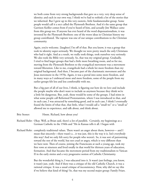we both come from very strong backgrounds that gave us a very, very deep sense of identity; and each in our own way, I think we've had to rethink a lot of the stories that we inherited. But I grew up in this very esoteric, little fundamentalist group. Some people would call it a sect called the Plymouth Brethren. And it's the same group that Garrison Keillor comes from if you've heard of him, and actually Jim Wallace came from this group too. If anyone has ever heard of the word dispensationalism, it was invented by the Plymouth Brethren: one of the worst ideas in Christian history my group contributed. The rapture was one of our unique contributions to the Christian community.

 Again, you're welcome. [laughter] I'm off of that. But you know, it was a group that took its identity super-seriously. We thought we were pretty much the only Christians who had it right. And as a result, we really took things, took ourselves very seriously. We also took the Bible very seriously. So, that was my original group. Gradually, I tried to find larger groups that had a little more breathing room, and so for me, moving from the Plymouth Brethren to the evangelical movement was a movement toward liberation. Like to me, evangelicals had a whole lot more freedom than my original background. And then, I became part of the charismatic movement and the Jesus movement in the 1970s. Again, it was a portal into some more freedom, and in many ways as I embraced more and more freedom, some of the people from my earlier groups felt less and less comfortable with me.

 But a big part of all of our lives, I think, is figuring out how do we love and include the people maybe who don't want to include us anymore because they think we're a little bit dangerous. But, yeah, those would be some of the groups. I had stints in what some people call Reformed Protestantism, where I was introduced to that, and in each case, I was attracted by something good, and in each case, I think I eventually found the limits of what that, that little, what I would call a "small we" or a "small us" allowed me to experience, and talk about, and think about.

- Brie Stoner: Hmm. Richard, how about you?
- Richard Rohr: Okay. Well, as Brian said, there's a lot of parallels. Certainly, my beginnings as a German Catholic in the 1940s and '50s in Kansas tells it all. I began with
- Richard Rohr: completely traditional values. There wasn't an anger about them, however— and I mean that sincerely—there wasn't a…it was just, this is the way it is. Isn't everybody this way? And we only felt sorry for people who weren't. So, it was sort of patronizing toward the rest of the world, but not cruel or angry, which is very different than we have now. Then of course, joining the Franciscans at such a young age, took my first vows at nineteen and lived totally in that world for thirteen years of education, formation. And that became the movement period from my traditionalism to Vatican II in the early sixties and a very progressive notion of Catholic Christianity.

 But the wonderful thing is, I was educated into it. It wasn't just feelings, you know, it wasn't just, yeah. And if there was a critique of the old Catholic Church, it was a rational critique. It was a usual critique of inconsistency. How, why did we say this if we believe that kind of thing? So, that was my second major group: Family Friars.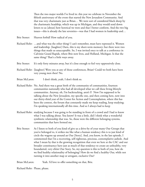Then the two major worlds I've lived in: this year we celebrate in November the fiftieth anniversary of the event that started the New Jerusalem Community. And that was very charismatic just as Brian… We were sort of considered black sheep by the charismatic headship, which was up in Michigan, and they would send down letters to us [about] how heretical we were and that I better conform. And the two big issues—this is already the late seventies—was that I had women in leadership and…

Brie Stoner: Heaven forbid! How radical of you.

- Richard Rohr: …and what was the other thing? I can't remember, must have repressed it. Women and leadership. [laughter] Darn, this is my short-term memory; but there were two things that made us unacceptable. So, I was invited once to talk at a conference in Calvinist Grand Rapids, where Brie now lives, and Holland, Michigan. Is that the same thing? That's a little ways away.
- Brie Stoner: It's only forty minutes away, but it's close enough to feel very oppressively close.
- Richard Rohr: [laughter] Were you at any of those conferences, Brian? Could we both have been very young men then? No.
- Brian McLaren: I don't think, yeah, I don't think so.
- Richard Rohr: No. And there was a great birth of the community of communities, fourteen communities nationally who had all developed what we call these living lifestyle communities. Anyway, oh, I'm backtracking, aren't I? Now I'm supposed to be talking about the New Jerusalem, my specific one, and then coming here, now into our thirty-third year of the Center for Action and Contemplation, where this has been the context, the forum that constantly made me keep reading, keep studying; I'm speaking internationally all this time. And so I always had to keep
- Richard Rohr: studying because I was going to be standing in front of a crowd and I had to know what I was talking about. You know? It was a little, did I think what a wonderful symbiotic relationship that was. So, those were the different belonging systems, communities that have formed me.
- Brie Stoner: As I listen to both of you kind of give us a drive-by of your many Our Groups that you've belonged to, it strikes me like what a human tendency this is to just kind of circle the wagons up around an Our [Story]. And, you know, in the last episode, I commented that I'm a recovering, self-righteous, precious, contemplative asshole. And what I mean by that is the growing recognition that even we here at the CAC and our broader constituency have just as much of that tendency to create an unhealthy, very boundaried, very elitist Our Story. So, my question is this to both of you, how do we find healthy relationality of belonging? How do we find a healthy Our, while not turning it into another map or arrogant, exclusive Our?

Brian McLaren: Yeah. I'd love to offer something on that, Brie.

Richard Rohr: Please, please.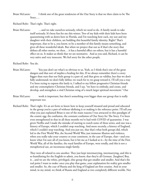Brian McLaren: I think one of the great tendencies of the Our Story is that we then claim to be The Story….

Richard Rohr: That's right. That's right.

Brian McLaren: …and we take ourselves seriously, which we need to do. A family needs to take itself seriously. It's been fun for me this winter. Two of my kids with their kids have been quarantining with us down here in Florida, and I'm watching how each, my son and my daughter with their children, are building this beautiful family identity. Right? That's important, that to be a, you know, to be a member of this family means something, and gives all these wonderful ideals. But when we project that out as if that's the story that defines all other stories, we then… it has a harmful effect on others, but it has a harmful effect on us. It makes us think that we are normative. And as you said, Richard, it can be very naïve and very innocent. We feel sorry for the other people.

Richard Rohr: You do.

- Brian McLaren: You just don't see what's so obvious to us. Yeah, so I think that's one of the great dangers and that sort of implies a healing for this. If we always remember there's a story bigger than ours that our little group is a part of, and that gives us validity, but that we don't fully understand; we don't fully define; we reach for it; we grasp toward it. I'll tell you a way I've been trying to express this lately is, I talked to my fellow progressive Christian friends and my contemplative Christian friends, and I say, "we have to embody, and create, and develop, and strengthen a vital Christian wing of a much larger spiritual movement." Our
- Brian McLaren: work is important, but there's something even bigger than our group that is really important too.
- Richard Rohr: That's right. It's an art form to know how to keep yourself situated and proud and educated in the group you're a part of without idolizing it or making it the reference point. I'll tell you what you just explained Brian is one of the main reasons I was attracted to this paradigm of the cosmic egg: the confusion, the constant confusion of Our Story for The Story. I've been even strengthened in that in all these months we've had with COVID of quarantine. I was given Netflix and I made the mistake of starting to watch some of these series, and one was a history of Europe, which I couldn't stop watching. And more recently, a history of England, which I couldn't stop watching. And you just see, that that's what both groups did, which led to the First World War, the Second World War, just immense illusion and violence, when you really take your country or your continent, in the case of Europe, that—and you know what I'm sure all of you know, but it hit me as I looked at it—by the time of the First World War, all of the families, the royal families of Europe, were totally, and this is not a metaphorical use, an incestuous single family.

 They were all related to one another. They just kept intermarrying, intermarrying, and this is so humiliating for the English to admit, you know, that they're all German. [laughter] Boy, it…and we are the white, privileged, elite group that got smaller and smaller. And that's the real point I want to make: once you play that game, your explanation for reality gets smaller and smaller. So, the czar of Russia and the king of England are first cousins. And in your mind, in my mind, we think of Russia and England as two completely different worlds. Not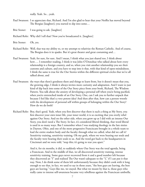really. Yeah. So…yeah.

Paul Swanson: I so appreciate that, Richard. And I'm also glad to hear that your Netflix has moved beyond The Borgias [laughter]; you started to dip into some…

Brie Stoner: I was going to ask. [laughter]

- Richard Rohr: Why did I tell that? Now you've broadcasted it. [laughter]
- Brie Stoner: Oh, yes.
- Richard Rohr: Well, that was my ability to, or my attempt to relativize the Roman Catholic. And of course, The Borgias does it in spades. But it's great theater and great costuming and…
- Paul Swanson: Yeah, for sure, for sure. And I mean, I think what you just shared too, I think about how…. I remember reading, I think it was John O'Donohue who talked about how every relationship is a foreign country, and so, when you visit another relationship you see their customs and culture, and you have to step into it that, with that kind of open-mindedness. I think the same is true for the Our Stories within the different spiritual circles that we've all talked about, and
- Paul Swanson: the ways that there's goodness there and things to learn from, but it doesn't mean that you, the growing edge, I think it always invites more curiosity and adaptation. And I want to just kind of dip back into some of the Our Story piece from your book, Richard, The Wisdom Pattern. You talk about the anxiety of developing a personal self when you're being pacified, when you're entrenched inside of an Our Story. One, can I ask you to further unpack that because I feel like that's a very potent idea? And then after that, how can a person wrestle with the development of personal self within groups of belonging within the Our Story? How do we do both?
- Richard Rohr: Boy, that's good. Yeah, when you first discover that there is such a thing as My Story, you first discover your own inner life, your inner world, it is so exciting that you overly rebel against Our Story. And on the other side, when you grow up as I did with an intense Our Story, you don't need a The Story. In fact, it's considered liberal thinking, that word liberal is used in so many ways. But I remember when I was studying theology in the late sixties in Dayton, Ohio, and one of the more progressive Franciscans brought in a whole team to lead the entire student body and the faculty through what we called, what did we call it? Sensitivity training, sensitivity training. Oh my gosh, where we were bearing our souls and the faculty were bearing their souls to us. And the word got back to the headquarters in Cincinnati and we were told, "stop this; it's going to tear you apart."

 And it, for six months, it did, to suddenly where Our Story was the total agenda, being a Franciscan. And in the middle of that, we all discovered sensitivity training, intense sensitivity training. Some guys never recovered from it and a good number left because they discovered an "I" and realized The Our wasn't adequate to the "I," if I can put it that way. Now, I do think some of them left unfortunately because they didn't cook with it long enough to see that, in fact, we used to say in those years, "the best guys are leaving, the best guys are leaving." Guys like me, we stayed. But what we meant by that is, those guys who really came to intense self-awareness became very rebellious against the Franciscan umbrella.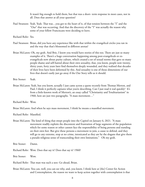It wasn't big enough to hold them, but that was a short- term response in most cases, not in all. Does that answer at all your question?

Paul Swanson: Yeah. Yeah. That was…you got to the heart of it, of that tension between the "I" and the "Our" that was occurring. And that the discovery of the "I" was actually the reason why some of your fellow Franciscans were deciding to leave.

Richard Rohr: Yes.

- Paul Swanson: Brian, did you have any experience like with that within the evangelical circles you ran in and the way that that's blossomed in different arenas?
- Brian McLaren: Oh, my gosh. And Brie, I know you would have stories of this too. There are just so many examples of it. There's a huge conversation happening among post-evangelicals or exevangelicals now about purity culture, which created a set of sexual norms that gave so many people shame and self-hatred about their own sexuality, that, you know, people now twenty, thirty years, forty years later find themselves deeply wounded, and they realized that decades of their lives have been deformed by this. And sexuality is one of those dimensions of our lives that doesn't easily just go away if the Our Story tells us it should.
- Brie Stoner: Yeah.
- Brian McLaren: Yeah, but you know, actually I just came across a quote recently from Thomas Merton, and Paul, I think it perfectly captures what you're describing. Can I just read it real quickly? It's from a little-known work of Merton's, an essay called "Christianity and Totalitarianism" in 1960, here are just two paragraphs. "A mass movement…"

Richard Rohr: Wow.

Brian McLaren: And when he says mass movement, I think he means a massified movement.

Richard Rohr: Massified.

- Brian McLaren: The kind of thing that swept people into the Capitol on January 6, 2021. "A mass movement readily exploits the discontent and frustration of large segments of the population which for some reason or other cannot face the responsibility of being persons and standing on their own feet. But give these persons a movement to join, a cause to defend, and they will go to any extreme, stop at no crime, intoxicated as they are by the slogans that give them a pseudo-religious sense of transcending their own limitations." Oh my gosh.
- Brie Stoner: Damn.

Richard Rohr: Wow. Does that say it? Does that say it? 1960?

Brie Stoner: Wow.

Richard Rohr: That man was such a seer. Go ahead, Brian.

Brian McLaren: You can, well, you can see why, and, you know, I think here at [the] Center for Action and Contemplation, the reason we want to keep action together with contemplation is that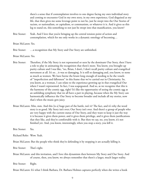there's a sense that if contemplation involves to one degree facing my own individual story and coming to encounter God in my own story, in my own experience, God disguised as my life, that then gives me some leverage point to not be, just be swept into the Our Stories of racism, or nationalism, or capitalism, or communism, or whatever it is. And it gives us this leg to stand on, this something to not just be swept into that massification, you know?

Brie Stoner: Yeah. And I love that you're bringing up the central tension point of action and contemplation, which for me only works in a dynamic ontology of becoming…

Brian McLaren: Yes.

Brie Stoner: ...a recognition that My Story and Our Story are unfinished.

Brian McLaren: Yes.

- Brie Stoner: Therefore, if the My Story is not represented or seen by the dominant Our Story, then I have a role to play in animating the recognition that there's more. You know, you brought up purity culture and I was like, "no, Brian, I don't, I don't recall purity culture and evangelical movement at all. It's so...it was so damaging. It is still so damaging and, you know, to none as much as women. We have borne the brunt long enough of needing to be the vessels of "imperfection and fallenness" in this frame that we've carried out in Christianity. So, you know, as a woman, I can relate to the experience growing up in that evangelical Our where I wasn't represented. In fact, I was scapegoated. And so, as we recognize that this is the harmony of the cosmic egg, right? It's like the opportunity of seeing the cosmic egg as an unfolding symphony that we all have a part in playing, because when the My Story can harmonically influence the Our Story to become broader and include all my stories, now that's when the music gets juicy.
- Brian McLaren: Mm, mm. And this [is a] huge part of the battle, isn't it? The fact, and it's why the word story is so good. My Story isn't over; Our Story isn't over. And there's a group of people who are very happy with the current status of Our Story, and they want to keep it just the way it is because it gives them power, and it gives them privilege, and it gives them justifications that they like, and they're comfortable with it. But then we say, no, you know, it's not finished yet. And, you know, interestingly, when you stop a story, you kill it.

Brie Stoner: Yes.

Richard Rohr: Wow. Yeah.

Brian McLaren: But the people who think they're defending it by stopping it are actually killing it.

Brie Stoner: That's right.

Brian McLaren: and this invitation, and I love this dynamism then between My Story and Our Story. And of course, then, you know, we always remember that there's a larger, much larger reality.

Brie Stoner: Right.

Brian McLaren: It's what I think Barbara, Dr. Barbara Holmes captures perfectly when she writes a book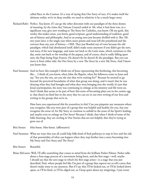called Race in the Cosmos. It's a way of saying that Our Story of race, if it makes itself the ultimate reality, we're in deep trouble; we need to relativize it by a much larger story.

- Richard Rohr: Perfect. You know, if I can go the other direction with our paradigm of the three domes of meaning, by the [time the] Vatican Council ended in '66, what it had done was, in a significant way, give new wording to The Story for Catholics, you know. Oh my gosh, this works; this makes sense, you know, good scripture, good understanding of tradition, good use of history and philosophy. And so us young ones just became thrilled with it. But '68, two years later, is the single year when more priests and nuns left the priesthood and the convent than any year of history—1968. They just flooded out of vows because the old paradigm, which had absolutized itself, didn't make sense anymore if you didn't get the new, real story, if the new language, and some ran back to the Latin mass, which continues to this day, some run back to the worship of the papacy, and of course, they're really falling apart now, the Pope being Pope Francis. He doesn't fit; he doesn't fit the paradigm. But you can move it from either side: the Our Story by a new The Story by a new My Story. And I know you know that.
- Paul Swanson: And we have this example I think too of Jesus representing this furthering, this becoming like… I think of, you know, when John the Baptist, when his followers come to Jesus and say, "Are you the one, are you the one that we're waiting for?" Because he seemed to go beyond the perceived boundaries of what that group was doing, and it wasn't that he was denying what they had brought and what they were bringing into the world; it's just that Jesus's participation, his story was continuing to enlarge as his ministry and life went on. And I think that seems to be part of how this sense of becoming plays out in the cosmic egg is: that there's no final line to the story that we can see in our own writing of our lives and writing in the groups that we're in.

 How have you experienced this for yourselves in this? Can you pinpoint any moments where you recognize, like you were part of a group that was helpful and healthy for you, but you recognize the sense of, for My Story to continue to unfold in the sense of the Spirit's leading, and maybe even to enlarge an Our Story? Because I think, that when I think of some of the folks listening, they are circling in Our Stories that are not helpful, that they're trying to grow out of.

- Brie Stoner: Mm-hmm. Mm-hmm. (affirmative)
- Paul Swanson: What are ways that you all could help folks kind of find pathways to step in love and the risk of that potentiality of what can happen when they step further into a story becoming into My Story and Our Story and The Story?

Brie Stoner: Beautiful.

Brian McLaren: Well, I'll offer something that comes to mind from the brilliant Parker Palmer. Parker talks about a four-stage process of a movement being born, and the first stage—well, maybe I should say that the zero stage in which the first stage arises—is a stage that you just described, Paul, where people feel like I'm part of a group that expects me to tell a story that doesn't make sense to me anymore. But if I say that I'll be kicked out, or I'll be looked down upon, or I'll be fired, or I'll be edged out, so I keep quiet about my misgivings. I just wrote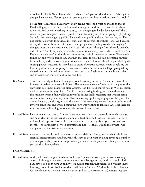a book called Faith After Doubt, which is about, that's part of what doubt is: it's being in a group where you say, "I'm supposed to go along with this, but something doesn't sit right."

 So the first stage, Parker Palmer says, is divided no more, and what he means by that is I'm dividing myself: the face that I showed in my group and the face that I kept private to myself. And when something in us says, "I'm not going to be divided anymore," that's when the process begins. There's a problem here: I'm not going; I'm not going to play along. Second stage involves going public. Somebody goes public and says, "excuse me, but I'm not comfortable with this; excuse me, but I don't think that's the whole story." And as soon as they do, that leads to the third stage: other people start coming together and saying, "I thought I was the only person who didn't see it that way. I thought I was the only one who didn't fit in." And he says, they establish communities of congruence, where people say, "oh, I'm not the only one." And in those communities, critical conversations come. They hassle things out and wrestle things out, and then that leads to what he calls alternative rewards because he says when those communities of convergence develop, they'll be punished by the existing power structures. So, they have to create alternative rewards, where people say we have a right to exist; we're going to take care of each other because the larger group telling the old Our Story is no longer going to take care of us. Anyhow, that to me is a way that… and I've sure seen that play out in my own life.

- Brie Stoner: That is such a helpful frame, Brian, just even describing the steps. I'm sure so many of our listeners can relate to one or all of them. The moment when you're sitting in the pew or the gray chair, you know, Mars Hill Bible Church, Rob Bell's old church here in West Michigan used to call them the gray chairs. And I remember sitting in the gray chair and having this moment where I finally allowed myself to authentically recognize that I wasn't being authentic and being there anymore. That by showing up, I was going against the grain of a deeper longing, [music begins] and there was a dissonance happening. I was out of tune with my own conscience and where I think the spirit was wanting to take me. Ah, I bet there are so many who are listening, who remember or recall that feeling.
- Richard Rohr: It's a moment that—well, it's more than a moment—but that demands so much courage, and good eldering or spiritual direction, or at least one good teacher. And what you have to learn in that period is—and it takes some time: I'm talking about years, not weeks or months—to distinguish between essentials and non-essentials. I think that's what I was doing much of the sixties and seventies,
- Richard Rohr: now, what do I really need to hold on to as essential Christianity, as essential Catholicism, essential Franciscanism? And boy, you only learn to do it right by doing it wrong a number of times, particularly from the pulpit where you make public your inner thoughts. I'm sure you did that, Brian, where…

Brian McLaren: Yes.

Richard Rohr: And good friends or good teachers would say, "Richard, you're right, but you're coming across a little angry or you're coming across a little like egocentric," and I'm sure I still do. But, boy, if you don't have an ability to be guided through that period, you will not know how to get out of exile back into what I call "reorder" in that Wisdom book. It's...boy, and few people have it. So what they do is they run back to a reassertion of, because they can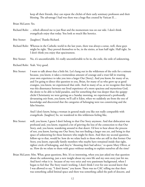keep all their friends, they can repeat the clichés of their early seminary professors and their blessing. The advantage I had was there was a huge flux created by Vatican II…

Brian McLaren: Yes.

- Richard Rohr: …which allowed me to just float and the momentum was on our side. I don't think evangelicals enjoy that today. You look so much like heretics.
- Brie Stoner: [laughter] Thanks Richard.
- Richard Rohr: Whereas in the Catholic world in the last years, there was always a sense, well, these guys might be right. They proved themselves to be, in the sixties, at least half right. Half right. So I don't think you enjoy that spaciousness.
- Brie Stoner: No, it's uncomfortable. It's really uncomfortable to be in, the exile, the exile of unknowing.

Richard Rohr: Yeah. Very good.

Brie Stoner: I want to talk about that a little bit. Let's hang out in the wilderness of the exile for a minute because, you know, it takes a tremendous amount of courage and a trust fall in trusting your own experience to take you into a larger Our [Story]. And you know, for many of us, and I'm going to direct this question to you, Brian, for many of us who grew up as good evangies, you know, we experienced that exile. And in many of us, as we recognize that there was this dissonance between our lived experience of a more spacious and mysterious God, the desire to be able to hold paradox, and for something that was deeper than the quippy cliché Christianity we were getting on a Sunday morning, we experienced a profoundly devastating exit from, you know, we'll call it Eden, when we suddenly ate from the tree of knowledge and discovered that the categories of belonging were too constricting and the false binaries.

> And I don't know, being a woman in general made you like not really compatible with evangelicals. [laughter] So, we wandered in this wilderness feeling like,

- Brie Stoner: well, you know, I guess I don't belong to that Our Story anymore. And that dislocation was profound and, you know, required a lot of grieving the loss of the connection to that Our Story, and, you know, wandering around in that desert. I'd love to hear about the process of not, you know, leaving one Our Story, but not finding a larger one yet, and being in that space of unknowing for those listeners who might be there. And then my second question, follow-up to that, would be: how do we relate back to those who are still in that former Our Story, you know, especially family members who maybe have remained inside that tight, tighter circle of belonging, and they're "shouting their bad advice," to quote Mary Oliver, at us. How do we relate to them with grace without needing to explain ourselves all the time?
- Brian McLaren: Mm. What, great questions, Brie. It's so interesting, when you just asked me that question about the unknowing, just a new insight about my own life and my own story just hit me. And here's what it is: because of my very strict and very passionate background, when I began to feel that The Story wasn't working, I don't think I ever for one second knew that I was allowed to say, "I don't know," you know. There was no CAC telling me that there was something called liminal space and there was something called the path of descent, and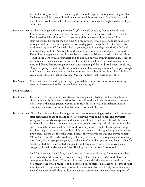that unknowing was a part of the journey that I should expect. Nobody was telling me that. So, here's what I did instead. I fixed one more detail. In other words, I couldn't just say, I don't know. I could say, well, I almost know; I just have to make this slight tweak and slight adjustment.

- Brian McLaren: And if I could go back and give myself a gift, it would be to say, "you're allowed to say, I don't know;" "you're allowed to...." In fact, I love the term you used earlier, a trust fall. I'm allowed to fall back into God's knowing and for me to say, "I don't know." I tell a story where this hit me for the first time. On my days off, I was a pastor and it's hard to go through this kind of rethinking when you're getting paid to keep the old, Our Story alive. And so, on my days off, I just felt I had to get away, and I would go hike the C&O Canal near Washington, D.C. Anybody from that area knows what a beautiful place it is. And I'm walking along one day, and I remembered a verse that I'd memorized as a kid, which is: "Trust in the Lord with all your heart and do not lean on your own understanding." And, at that moment, for some reason, it just was like a flick in the head, I realized trusting in the Lord is different than trusting in my own understanding of the Lord. And when I could say, "God, I'm going to doubt my beliefs about you, and I'm trusting you to help me get through this." I mean, that might seem so obvious to some people, but for me, it was like this little crack in this structure that opened up. Does that address what you're asking, Brie?
- Brie Stoner: Yeah, that resonates so deeply, the capacity to stabilize in the discomfort of not knowing seems to be so central to the contemplative practice, right?

Brian McLaren: Yes.

- Brie Stoner: It's letting go letting go of my constructs, my thoughts, my feelings, and learning how to almost somatically get accustomed to that trust fall. And you know, to follow up, I wonder what, what is the most gracious way for us to trust fall with love in our relationships to others, maybe those who are still in that more constricted Our Story.
- Brian McLaren: Yeah. And this is really, really tough because then we start asking questions, and then people start being nervous about us, and they start worrying we're going to hell, and they start worrying, and words like apostate and heretic and all these, you know—liberal, the worst word of all—start being thrown around. And it really is a socially difficult, and emotionally and relationally difficult road to walk. And I can only offer a couple of very specific things that have helped me. One of them is: I call it the courage to differ graciously, and it involves five words. I always use these five words because they've served me well and they're honest: "Wow, I see that differently." And so, you know, you're home at Thanksgiving and somebody says, "well, all those people are going to hell anyway." And then you say, you know—if you're silent, you feel dirty and you feel complicit—and if you say, "Uncle Fred, you're such an arrogant, bigoted fundamentalist," that Thanksgiving dinner doesn't go so well.

 So, I find by saying "wow," I say "wow" because it's my way of saying, I have emotion about this; I care about this, instead of "you are wrong," "I see that differently." And I have the courage to differ graciously. Now, usually when you say that the person says, "well, what do you mean?" And what I found, if at all possible, I say to them, "I'd rather not get into it right now, Uncle Fred. I just want you to know, I used to see it that way; I really see it differently now. If you want to talk about it, let's talk about it some other time, you know, in private."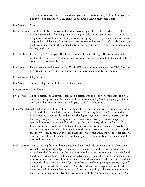The reason I suggest that is at the moment you can say to somebody, "I differ from you, but I don't need to convince you I'm right," you're giving them a phenomenal gift...

- Brie Stoner: Wow.
- Brian McLaren: …and the gift is, I love you and we don't have to agree. I have the security to be different. And in a sense, what I'm doing is I'm violating the rules of Our Story that say, we all have to agree on this. And in a way, I might even be stepping into a larger story that allows us to disagree, but still be part of something where we love each other. So that's a little, I mean, it might seem like a gimmick, but it actually has worked and seems to me to be an honest and fair way to do that.
- Richard Rohr: I totally agree. Thank you. Thank you. That's all I can say though. The form I've usually used is—I try to say it in as kind of voice as I can: I'm going to have to think about that. I'm going to have to think about that.
- Brie Stoner: Do you remember Reverend Angel Kyodo Williams at the conference at the CAC? She had this brilliant way of saying, you know, "I might need to complicate that for you."
- Richard Rohr: Oh yeah. Yes.
- Brie Stoner: She would lay out this brilliant, you know, but...
- Richard Rohr: Complicate.
- Brie Stoner: ...but so helpful, both of you. That's such a helpful way to be, to honor the authentic, you know, need to speak up in the moment, the need to honor My Story by saying, you know, "I don't see it that way," but to do so with grace. Wow. That's beautiful.
- Brian McLaren: Oh, well, one other thing I think that is helpful in those situations is to decide, you know, that beautiful old song derived from Ecclesiastes, "For everything, there's a time and season." And sometimes what people need is not a theological argument, they need reassurance. So for me, growing up in my background, my parents would say, "you aren't changing your view on homosexuality, are you?" And I'd say, "Oh, don't worry, Mom; don't worry, Dad; I love Jesus, and I love my neighbor, and that's what really counts. They weren't ready to handle a big argument, right? But I could give them the reassurance that they needed and that they were ready for. But there are other times where the argument needs to happen or at least the story of how I came to see it differently needs to be told. But, yeah, sometimes folks just need reassurance.
- Paul Swanson: That's so, so helpful. I think too about, you know, Richard, I think about the phrase that you're known for of "the edge of the inside," to take this to kind of what we see in the natural world of this metaphor that has given me a lot of life is of ecotones, where field and marsh meet, where these two different ecosystems meet, there's the greatest exchange of life. And so I think that it's useful in this for me, when I think about whether it's differing views, the way that both, well, all three of you have shared, there's an opening for an exchange of life to happen through those responses. And also, I think that metaphor also works when, if you are kind of moving, like letting go of one story or ending a chapter of one story and move into another, there's often this great exchange of life that occurs in your own My Story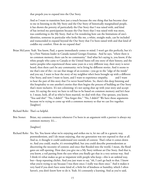that propels you to expand into the Our Story.

 And so I want to transition here just a touch because the one thing that has become clear to me in listening to the My Story and the Our Story of historically marginalized people, it has shown the poverty of particularly the Our Story that I was raised with, and kind of has invited my participation because the Our Story that I was raised with was more, was comforting to the My Story. And so I'm wondering how can the limitations of one's identities, someone in particular who looks like me, a white, straight male, can be included and transcended to expand beyond the Our Story that I've been raised with and that kind of coddles my comfort. How do we expand that?

Brian McLaren: Yeah. You know, Paul, a quote immediately comes to mind. I won't get this perfectly, but it's by a First Nations leader in Canada named Georges Erasmus. And he says, "where there is no common memory, there can be no community." And what he's saying is, you know, if the white people who came to Canada or the United States tell one story of their history, and the native peoples who experienced those same years in a very different way, their story is never heard, then there can't be any community; we're living by different stories. And it seems to me that's one of the—to use that image of an ecotone—you go to the "edge of the inside" and you say, I want to hear the story of my neighbor who's been brought up with a different Our Story, and now I want to learn, and I want to experience empathy, and I want to hear the part of this story that I've never heard before. So, there's this deep listening and this hospitality to one another's stories that then begins the process of building an Our Story that's more inclusive. It's not colonizing: it's not saying shut up with your story and accept ours. It's saying the story we have to tell has to be based on common memory and let's hear it. I mean, look, all of us who've been married, we deal with that. Our spouses, you know, "You said this!" "No, I didn't!" "You forgot this." "No, I didn't!" We have those arguments because we're trying to come up with a common memory so that we can live together. [laughter]

Richard Rohr: That's so helpful.

Brie Stoner: Brian, my common memory whenever I've been in an argument with a partner is always my common memory. It's…

[laughter]

Richard Rohr: Yes. Yes. You know what we're enjoying and strikes me is, let me call in a generic way, postmodernism, and I do mean enjoying, that my generation was not exposed to that at all. And so, it thought it could understand text outside of context. That's what it comes down to. And you could, maybe, it's oversimplified, but you could describe postmodernism as discovering the necessity of context; and once that flooded into the world, I mean, the flood gates are still opening. How dare you give me a My Story without an Our Story. And that is, you know, a veil parting from the eyes when you finally get that in a very serious way. And I think it's what makes us get so impatient with people who keep—this is an unkind way, but—keep repeating clichés. And you just want to say, "oh, I can't go back to that. I know what you're trying to say because I was there once; I really was there once." And it makes it very hard if you don't have some kind of, a little bit of kindness or humility, which I often haven't, you don't know how to do it. Yeah. It's constantly a learning. And as you've said,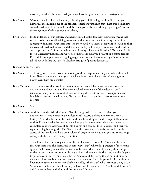those of you who've been married, you must learn it right there for the marriage to survive.

- Brie Stoner: We've mastered it already [laughter] this thing you call listening and humility. But, you know, this is reminding me of the broader, critical, cultural shift that's happening right now around needing to have humility and listening, particularly as white people. Right? Because the recognition of white supremacy as being
- Brie Stoner: the foundations of our culture, and having existed as the dominant Our Story means that we have to be, first of all, willing to recognize that we turned the Our Story, the whitesupremacy-dominant Our Story into The Story. And, you know, I just want to touch on this: the colonial need to dominate and determine, and, you know, put boundaries and borders and maps, and say "this is the architecture of reality. I have established it." You know, I think there's a necessary healthy, and we're, you know…I'm glad you brought up postmodernism Richard. I was hoping you were going to go there because I have so many things I want to talk about with that. But there's a healthy critique of postmodernism…
- Richard Rohr: Yes. Yes.
- Brie Stoner: …of bringing in the necessary questioning of those maps of meaning and where they hail from. To say, you know, the ways in which we have created hierarchies of paradigms of power over, that's problematic.
- Brian McLaren: You know that word post-modern has so many debates, and as you know, I've written books about this, and I've been involved in so many of these debates; but I remember being in the backseat of a car on a long drive with African theologian named Mabiala Kenzo, and he said to me, "Brian, you have to remember post-modern is postcolonial."
- Brie Stoner: Yeah.
- Brian McLaren: And then another friend of mine, Alan Roxburgh said to me once, "Brian, you underestimate…you overestimate philosophical history, and you underestimate social history." And what he meant by that...and then he said, "post-modern is post-Holocaust." And so, if you say what happens to the white people who watched their most advanced exemplary country, Germany, slide into Nazism and commit the Holocaust; and then you say something is wrong with Our Story; and then you watch colonialism, and then the stories of the people who have been colonized begin to come out; and you say, something's wrong with the way we're doing civilization.

 Those kinds of second thoughts are really the challenge to both Our Story and the sense that Our Story was The Story. And in some ways, that's where this paradigm of the cosmic egg can be liberating in a really positive way, because what…first, by calling these things stories rather than institutions or ideologies, it says they're not finished yet, and they're going to get worse, or they're going to get better. And second, by saying there's not just one and there's not just two, but there are many levels of these stories. It helps us. I think it gives us liberation to say our stories are malleable. Frankly, I think that's what Jesus was doing in the Sermon on the Mount when he says "you have heard it said, but…" And he said, I don't, "I didn't come to destroy the law and the prophets." I'm not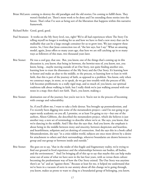- Brian McLaren: coming to destroy the old paradigm and the old stories; I'm coming to fulfill them. They weren't finished yet. There's more work to be done and I'm extending those stories into the future. That's what I've seen as being sort of the liberation that happens within this narrative framework.
- Richard Rohr: Good, good, good.
- Paul Swanson: It works on the My Story level, too, right? We've all had experiences where The Story I'm telling myself no longer is working for us and how we have to find a new story that can be malleable that can be a large enough container for us to grow into. We just outgrow these stories. So, I love that Jesus connection too of, "the law says, but I say." What an amazing model, again, Jesus offers so many years ago, that here we are still catching up in so many ways as followers of this man, two thousand years later.
- Brie Stoner: He was a cool guy, that one. But, you know, one of the things that's coming up in this discussion is, you know, that being in between, the betwixt-ness of, you know, not, you know, being…maybe moving outside of an Our Story, not quite finding another one, learning how to trust the dissonance of the My Story and the Our Story. It's learning how to honor and make an altar to the middle, to the process, to learning how to lean in with faith, that this is part of the journey of faith, as opposed to a problem. You know, only when we construct maps, in stone, so to speak, do we get into trouble with the process of life. Life becomes problematic to a really rigid map, and so much of, you know, our spiritual traditions talk about walking in faith, but I really think we're just walking around with our noses in a map; then that's not faith. That's, you know, making a
- Brie Stoner: destination out of the journey; but you're not in it. You're not in the process of becoming with courage and vulnerability.

 So, if you'll allow me, I want to take a little detour. You brought up postmodernism, and I've recently been digging into some of the metamodern project—and I'm not going to go super-nerdy academic on you all, I promise, or at least I'm going to try—but one of the authors, Alison Gibbons, she described the metamodern project, which she believes is just another way, a new set of terminology to describe where we're at. She says, you know, that we're dancing in the middle. And I like that she says that. And you know, the emphasis is about being in the middle between irony and sincerity, between skepticism and heartless, and heartfeltness, solipsism and yet desiring of connection. And she says this in a book called Metamodernism, she says "in a crisis-ridden world, subjects are once more driven by a desire for attachment to others and their surroundings, wherever boundaries are drawn between ingroup and out-group or between inside and outside."

Brie Stoner: She goes on to say, "that in the midst of this fragile and fragmentary reality, we're trying to find our ground in lived experience and the relationships between our bodies, all bodies, and the environment." And I'm bringing all of this up to say that maybe this can help make sense out of some of what we have seen in the last four years, with us versus them culture becoming the predominant way of how the Our Story existed. The Our Story was anytime there's an "us" and an "against them." Because at least for me, it helped me understand that we've been in a vacuum of sorts in our anxiety about all this change we're going through, you know, makes us prone to want to cling to a boundaried group of belonging, you know,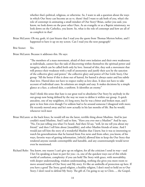whether that's political, religious, or otherwise. So, I want to ask a question about the ways in which Our Story can become an us vs. them? And I want to ask both of you, what's the role of contempt in animating a small mindset of Our Story? Brian, earlier you said, you know, we look down on the poor other Ours. As an evangelic or as a Baptist missionary, we look down on the Catholics, you know. So, what is the role of contempt and how are all of us complicit in that?

- Brian McLaren: Oh my, gosh, it's just bizarre that I read you the quote from Thomas Merton before, and I happened to have it up on my screen. Can I read you the next paragraph?
- Brie Stoner: Yes.

Brian McLaren: Because it addresses this. He says:

 "The members of a mass movement, afraid of their own isolation and their own weaknesses as individuals, cannot face the task of discovering within themselves the spiritual power and integrity, which can be called forth only by love. Instead of this, they seek a movement that will protect their weakness with a wall of anonymity and justify their acts by the sanction of the collective glory and power," the collective glory and power of Our Little Story, Our group. "All the better if this is done out of hatred, for hatred is always easier and less subtle than love. Hatred does not have to respect reality as love does. It does not have to take account of individual cases. Its solutions are simple and easy. It makes decisions by a simple glance at a face, a colored skin, a uniform. It identifies an enemy."

 And I think this sense that hate is our great tool to absolutize Our Story by anybody in the out-group now being defined by the way we want to define it within our group. A quick anecdote, one of my neighbors, it's long story, but he was a bitter and broken man, and I grew to love him even though I've seldom had to be around someone I disagreed with more. He recently moved away and he's now actually in his last months of life. But he would, whenever we'd meet

- Brian McLaren: at the back fence, he would tell me the latest, terrible thing about Muslims. And he just couldn't stand Muslims. And I said to him, "Have you ever met a Muslim?" And he says, "No, I'm just telling you what I've heard. And then I'd say, "well, let me tell you about my friend," and then I tell him about [inaudible], and other Muslim friends of mine. And I would just tell him the story of a wonderful Muslim that I knew, but it was so interesting to watch his generalizations that he learned from Fox news and from other, you know, of his ways, favorite ways of getting information, [which] allowed him to keep the Our Story that rendered anyone outside contemptible and hateable, and any counterexample would never even be mentioned.
- Richard Rohr: You know, one reason I can't give up on religion, for all the criticism I send its way—and I bet I'm speaking at least in part for you—is, one of the quickest ways out of this whole world of confusion, complexity: if you can hold The Story with grace, with moveability, with deeper understanding, wisdom understanding, nothing else gives you more room to move around inside of Our Story and My story. It's like an umbrella of protection up here. If you have a good The Story, good religion, a healthy religion, I don't need to hold on to Our Story; I don't need to defend My Story. The gift of, I'm going to say to Chris…, the Gospel,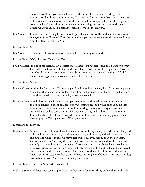the true Gospel, it is good news. It liberates the little self and it liberates the group self from its idolatries. And I bet you in some way, I'm speaking for the three of you too, it's why we still don't want to walk away from healthy theology, healthy spirituality, healthy religion, even though we're perceived by our own groups as being, you know, dangerously heretical, liberal, whatever. It's such a paradox, such an irony. For me anyways.

Brie Stoner: Hmm. That's such the gift that you've helped elucidate for us, Richard, and the, you know, laying out of the Universal Christ because it's the personal experience of that universal bigger story that frees us from the Our…

Richard Rohr: Yeah.

Brie Stoner: …or at least allows us to move as you said so beautifully with fluidity.

Richard Rohr: Well, I hope so. Thank you. Yeah.

Brian McLaren: In one of the recent Daily Meditations, Richard, you just said, look, that big story is what Jesus called the kingdom of God. And what I have to say for myself is: I grew up Christian, but when I started to get a sense of what Jesus meant by that phrase, kingdom of God, I knew it was bigger than Christianity that I'd been taught.

Richard Rohr: Yes. Yes.

- Brian McLaren: And in the Christianity I'd been taught, I had to look at my neighbor of another religion as someone either to convert or to keep away from so I wouldn't be polluted. In the kingdom of God, my neighbor of another religion was someone I
- Brian McLaren: should love as myself. I mean, example after example, the environment was something to not be concerned about because Jesus was coming back, and would suck us all up into heaven, and then burn up the earth. And in the kingdom of God, every sparrow matters; every wildflower, however brief its life has its own beauty and it all matters. And to use Jim Finley's beautiful phrase, "Every this has deathless beauty," and, oh my gosh, what a liberating space. What good news. What good news.

Richard Rohr: Right on.

Paul Swanson: Seriously. That's so beautiful. And thank you two for being such guides who stroll along with us in the kingdom of heaven, the kingdom of God, and show us, and help us see the delight, and awe, and wonder in it as we move deeper into our own becoming in the My Story, Our Story, and The Story together. So, thank you for your wisdom and for the guidance, not only this hour, but in all your work. It's truly an honor to be able to have these kinds of conversations with you all and know that this wisdom is alive and well, and being passed down, and being shared across boundaries that are just drawn in ink [music fades in], and know that we can step over them, and celebrate the kingdom of God in its vastness. So, deep bow to both of you. And thanks for being here today.

Richard Rohr: Thank you. Wonderful, wonderful.

Paul Swanson: And that's it for today's episode of Another Name for Every Thing with Richard Rohr. This